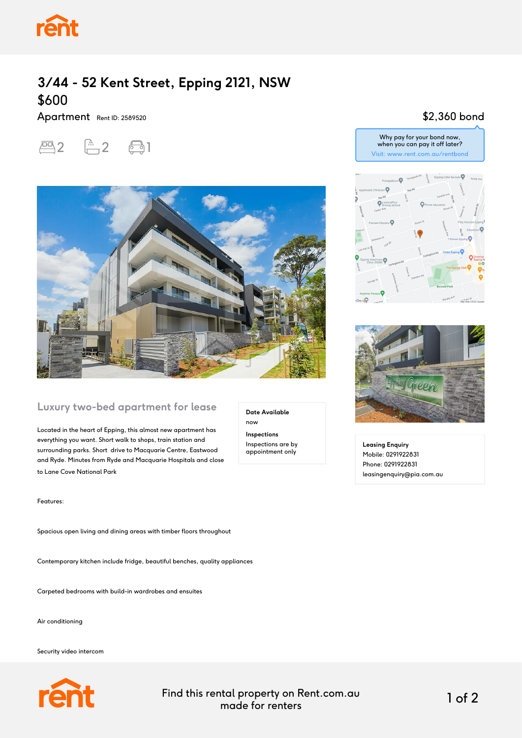

# **3/44 - 52 Kent Street, Epping 2121, NSW** \$600

Apartment Rent ID: 2589520





#### **Luxury two-bed apartment for lease**

Located in the heart of Epping, this almost new apartment has everything you want. Short walk to shops, train station and surrounding parks. Short drive to Macquarie Centre, Eastwood and Ryde. Minutes from Ryde and Macquarie Hospitals and close to Lane Cove National Park

Features:

Spacious open living and dining areas with timber floors throughout

Contemporary kitchen include fridge, beautiful benches, quality appliances

Carpeted bedrooms with build-in wardrobes and ensuites

Air conditioning

Security video intercom



Find this rental property on Rent.com.au made for renters 1 of 2

**Date Available**

now **Inspections** Inspections are by appointment only

## \$2,360 bond





**Leasing Enquiry** Mobile: 0291922831 Phone: 0291922831 leasingenquiry@pia.com.au